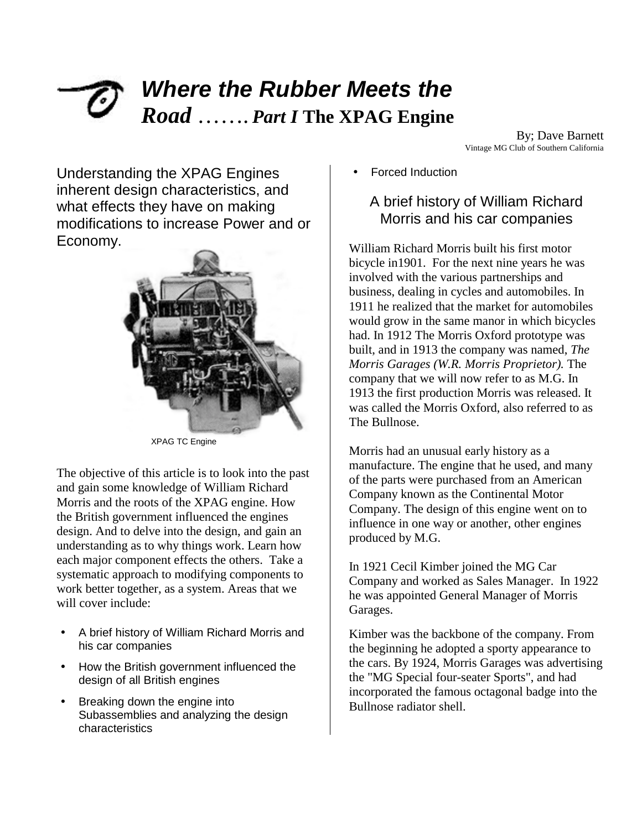# *Where the Rubber Meets the Road* ……. *Part I* **The XPAG Engine**

By; Dave Barnett Vintage MG Club of Southern California

Understanding the XPAG Engines inherent design characteristics, and what effects they have on making modifications to increase Power and or Economy.



XPAG TC Engine

The objective of this article is to look into the past and gain some knowledge of William Richard Morris and the roots of the XPAG engine. How the British government influenced the engines design. And to delve into the design, and gain an understanding as to why things work. Learn how each major component effects the others. Take a systematic approach to modifying components to work better together, as a system. Areas that we will cover include:

- A brief history of William Richard Morris and his car companies
- How the British government influenced the design of all British engines
- Breaking down the engine into Subassemblies and analyzing the design characteristics

• Forced Induction

### A brief history of William Richard Morris and his car companies

William Richard Morris built his first motor bicycle in1901. For the next nine years he was involved with the various partnerships and business, dealing in cycles and automobiles. In 1911 he realized that the market for automobiles would grow in the same manor in which bicycles had. In 1912 The Morris Oxford prototype was built, and in 1913 the company was named, *The Morris Garages (W.R. Morris Proprietor).* The company that we will now refer to as M.G. In 1913 the first production Morris was released. It was called the Morris Oxford, also referred to as The Bullnose.

Morris had an unusual early history as a manufacture. The engine that he used, and many of the parts were purchased from an American Company known as the Continental Motor Company. The design of this engine went on to influence in one way or another, other engines produced by M.G.

In 1921 Cecil Kimber joined the MG Car Company and worked as Sales Manager. In 1922 he was appointed General Manager of Morris Garages.

Kimber was the backbone of the company. From the beginning he adopted a sporty appearance to the cars. By 1924, Morris Garages was advertising the "MG Special four-seater Sports", and had incorporated the famous octagonal badge into the Bullnose radiator shell.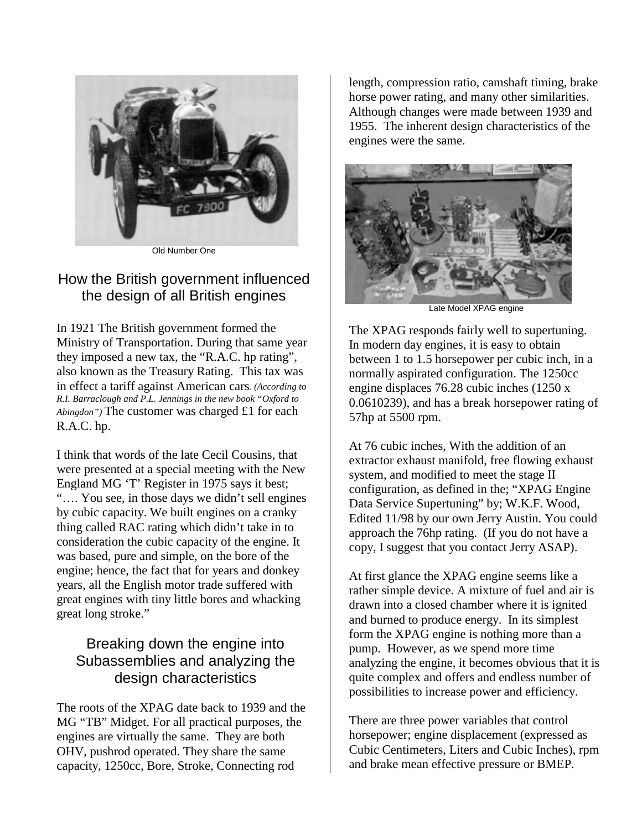

Old Number One

### How the British government influenced the design of all British engines

In 1921 The British government formed the Ministry of Transportation. During that same year they imposed a new tax, the "R.A.C. hp rating", also known as the Treasury Rating. This tax was in effect a tariff against American cars*. (According to R.I. Barraclough and P.L. Jennings in the new book "Oxford to Abingdon")* The customer was charged £1 for each R.A.C. hp.

I think that words of the late Cecil Cousins, that were presented at a special meeting with the New England MG 'T' Register in 1975 says it best; "…. You see, in those days we didn't sell engines by cubic capacity. We built engines on a cranky thing called RAC rating which didn't take in to consideration the cubic capacity of the engine. It was based, pure and simple, on the bore of the engine; hence, the fact that for years and donkey years, all the English motor trade suffered with great engines with tiny little bores and whacking great long stroke."

## Breaking down the engine into Subassemblies and analyzing the design characteristics

The roots of the XPAG date back to 1939 and the MG "TB" Midget. For all practical purposes, the engines are virtually the same. They are both OHV, pushrod operated. They share the same capacity, 1250cc, Bore, Stroke, Connecting rod

length, compression ratio, camshaft timing, brake horse power rating, and many other similarities. Although changes were made between 1939 and 1955. The inherent design characteristics of the engines were the same.



Late Model XPAG engine

The XPAG responds fairly well to supertuning. In modern day engines, it is easy to obtain between 1 to 1.5 horsepower per cubic inch, in a normally aspirated configuration. The 1250cc engine displaces 76.28 cubic inches (1250 x 0.0610239), and has a break horsepower rating of 57hp at 5500 rpm.

At 76 cubic inches, With the addition of an extractor exhaust manifold, free flowing exhaust system, and modified to meet the stage II configuration, as defined in the; "XPAG Engine Data Service Supertuning" by; W.K.F. Wood, Edited 11/98 by our own Jerry Austin. You could approach the 76hp rating. (If you do not have a copy, I suggest that you contact Jerry ASAP).

At first glance the XPAG engine seems like a rather simple device. A mixture of fuel and air is drawn into a closed chamber where it is ignited and burned to produce energy. In its simplest form the XPAG engine is nothing more than a pump. However, as we spend more time analyzing the engine, it becomes obvious that it is quite complex and offers and endless number of possibilities to increase power and efficiency.

There are three power variables that control horsepower; engine displacement (expressed as Cubic Centimeters, Liters and Cubic Inches), rpm and brake mean effective pressure or BMEP.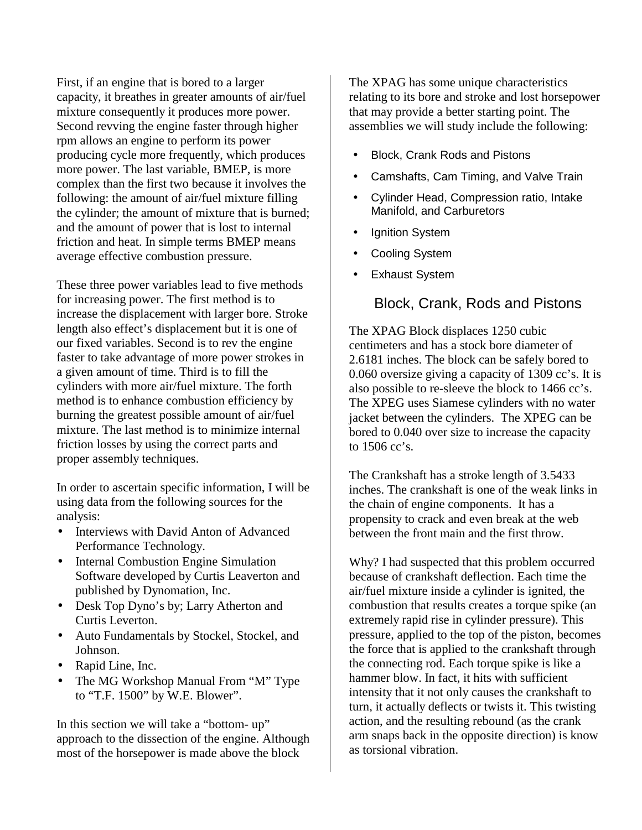First, if an engine that is bored to a larger capacity, it breathes in greater amounts of air/fuel mixture consequently it produces more power. Second revving the engine faster through higher rpm allows an engine to perform its power producing cycle more frequently, which produces more power. The last variable, BMEP, is more complex than the first two because it involves the following: the amount of air/fuel mixture filling the cylinder; the amount of mixture that is burned; and the amount of power that is lost to internal friction and heat. In simple terms BMEP means average effective combustion pressure.

These three power variables lead to five methods for increasing power. The first method is to increase the displacement with larger bore. Stroke length also effect's displacement but it is one of our fixed variables. Second is to rev the engine faster to take advantage of more power strokes in a given amount of time. Third is to fill the cylinders with more air/fuel mixture. The forth method is to enhance combustion efficiency by burning the greatest possible amount of air/fuel mixture. The last method is to minimize internal friction losses by using the correct parts and proper assembly techniques.

In order to ascertain specific information, I will be using data from the following sources for the analysis:

- Interviews with David Anton of Advanced Performance Technology.
- Internal Combustion Engine Simulation Software developed by Curtis Leaverton and published by Dynomation, Inc.
- Desk Top Dyno's by; Larry Atherton and Curtis Leverton.
- Auto Fundamentals by Stockel, Stockel, and Johnson.
- Rapid Line, Inc.
- The MG Workshop Manual From "M" Type to "T.F. 1500" by W.E. Blower".

In this section we will take a "bottom- up" approach to the dissection of the engine. Although most of the horsepower is made above the block

The XPAG has some unique characteristics relating to its bore and stroke and lost horsepower that may provide a better starting point. The assemblies we will study include the following:

- Block, Crank Rods and Pistons
- Camshafts, Cam Timing, and Valve Train
- Cylinder Head, Compression ratio, Intake Manifold, and Carburetors
- **Ignition System**
- Cooling System
- Exhaust System

#### Block, Crank, Rods and Pistons

The XPAG Block displaces 1250 cubic centimeters and has a stock bore diameter of 2.6181 inches. The block can be safely bored to 0.060 oversize giving a capacity of 1309 cc's. It is also possible to re-sleeve the block to 1466 cc's. The XPEG uses Siamese cylinders with no water jacket between the cylinders. The XPEG can be bored to 0.040 over size to increase the capacity to 1506 cc's.

The Crankshaft has a stroke length of 3.5433 inches. The crankshaft is one of the weak links in the chain of engine components. It has a propensity to crack and even break at the web between the front main and the first throw.

Why? I had suspected that this problem occurred because of crankshaft deflection. Each time the air/fuel mixture inside a cylinder is ignited, the combustion that results creates a torque spike (an extremely rapid rise in cylinder pressure). This pressure, applied to the top of the piston, becomes the force that is applied to the crankshaft through the connecting rod. Each torque spike is like a hammer blow. In fact, it hits with sufficient intensity that it not only causes the crankshaft to turn, it actually deflects or twists it. This twisting action, and the resulting rebound (as the crank arm snaps back in the opposite direction) is know as torsional vibration.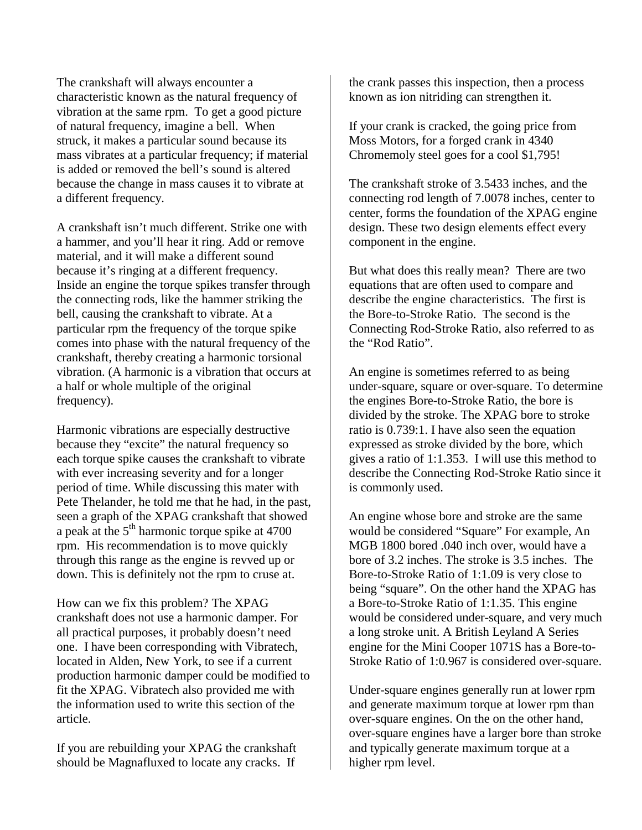The crankshaft will always encounter a characteristic known as the natural frequency of vibration at the same rpm. To get a good picture of natural frequency, imagine a bell. When struck, it makes a particular sound because its mass vibrates at a particular frequency; if material is added or removed the bell's sound is altered because the change in mass causes it to vibrate at a different frequency.

A crankshaft isn't much different. Strike one with a hammer, and you'll hear it ring. Add or remove material, and it will make a different sound because it's ringing at a different frequency. Inside an engine the torque spikes transfer through the connecting rods, like the hammer striking the bell, causing the crankshaft to vibrate. At a particular rpm the frequency of the torque spike comes into phase with the natural frequency of the crankshaft, thereby creating a harmonic torsional vibration. (A harmonic is a vibration that occurs at a half or whole multiple of the original frequency).

Harmonic vibrations are especially destructive because they "excite" the natural frequency so each torque spike causes the crankshaft to vibrate with ever increasing severity and for a longer period of time. While discussing this mater with Pete Thelander, he told me that he had, in the past, seen a graph of the XPAG crankshaft that showed a peak at the  $5<sup>th</sup>$  harmonic torque spike at 4700 rpm. His recommendation is to move quickly through this range as the engine is revved up or down. This is definitely not the rpm to cruse at.

How can we fix this problem? The XPAG crankshaft does not use a harmonic damper. For all practical purposes, it probably doesn't need one. I have been corresponding with Vibratech, located in Alden, New York, to see if a current production harmonic damper could be modified to fit the XPAG. Vibratech also provided me with the information used to write this section of the article.

If you are rebuilding your XPAG the crankshaft should be Magnafluxed to locate any cracks. If

the crank passes this inspection, then a process known as ion nitriding can strengthen it.

If your crank is cracked, the going price from Moss Motors, for a forged crank in 4340 Chromemoly steel goes for a cool \$1,795!

The crankshaft stroke of 3.5433 inches, and the connecting rod length of 7.0078 inches, center to center, forms the foundation of the XPAG engine design. These two design elements effect every component in the engine.

But what does this really mean? There are two equations that are often used to compare and describe the engine characteristics. The first is the Bore-to-Stroke Ratio. The second is the Connecting Rod-Stroke Ratio, also referred to as the "Rod Ratio".

An engine is sometimes referred to as being under-square, square or over-square. To determine the engines Bore-to-Stroke Ratio, the bore is divided by the stroke. The XPAG bore to stroke ratio is 0.739:1. I have also seen the equation expressed as stroke divided by the bore, which gives a ratio of 1:1.353. I will use this method to describe the Connecting Rod-Stroke Ratio since it is commonly used.

An engine whose bore and stroke are the same would be considered "Square" For example, An MGB 1800 bored .040 inch over, would have a bore of 3.2 inches. The stroke is 3.5 inches. The Bore-to-Stroke Ratio of 1:1.09 is very close to being "square". On the other hand the XPAG has a Bore-to-Stroke Ratio of 1:1.35. This engine would be considered under-square, and very much a long stroke unit. A British Leyland A Series engine for the Mini Cooper 1071S has a Bore-to-Stroke Ratio of 1:0.967 is considered over-square.

Under-square engines generally run at lower rpm and generate maximum torque at lower rpm than over-square engines. On the on the other hand, over-square engines have a larger bore than stroke and typically generate maximum torque at a higher rpm level.